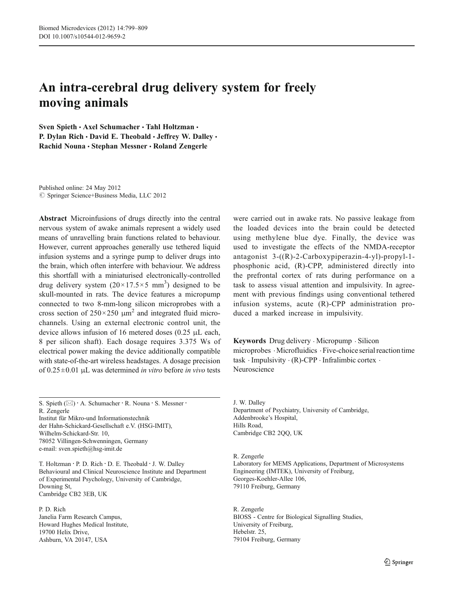# An intra-cerebral drug delivery system for freely moving animals

Sven Spieth • Axel Schumacher • Tahl Holtzman • P. Dylan Rich · David E. Theobald · Jeffrey W. Dalley · Rachid Nouna & Stephan Messner & Roland Zengerle

Published online: 24 May 2012  $\oslash$  Springer Science+Business Media, LLC 2012

Abstract Microinfusions of drugs directly into the central nervous system of awake animals represent a widely used means of unravelling brain functions related to behaviour. However, current approaches generally use tethered liquid infusion systems and a syringe pump to deliver drugs into the brain, which often interfere with behaviour. We address this shortfall with a miniaturised electronically-controlled drug delivery system  $(20 \times 17.5 \times 5 \text{ mm}^3)$  designed to be skull-mounted in rats. The device features a micropump connected to two 8-mm-long silicon microprobes with a cross section of  $250 \times 250 \mu m^2$  and integrated fluid microchannels. Using an external electronic control unit, the device allows infusion of 16 metered doses (0.25 μL each, 8 per silicon shaft). Each dosage requires 3.375 Ws of electrical power making the device additionally compatible with state-of-the-art wireless headstages. A dosage precision of  $0.25\pm0.01$  μL was determined *in vitro* before *in vivo* tests

S. Spieth  $(\boxtimes) \cdot$  A. Schumacher  $\cdot$  R. Nouna  $\cdot$  S. Messner  $\cdot$ R. Zengerle Institut für Mikro-und Informationstechnik der Hahn-Schickard-Gesellschaft e.V. (HSG-IMIT), Wilhelm-Schickard-Str. 10, 78052 Villingen-Schwenningen, Germany e-mail: sven.spieth@hsg-imit.de

T. Holtzman : P. D. Rich : D. E. Theobald : J. W. Dalley Behavioural and Clinical Neuroscience Institute and Department of Experimental Psychology, University of Cambridge, Downing St, Cambridge CB2 3EB, UK

P. D. Rich Janelia Farm Research Campus, Howard Hughes Medical Institute, 19700 Helix Drive, Ashburn, VA 20147, USA

were carried out in awake rats. No passive leakage from the loaded devices into the brain could be detected using methylene blue dye. Finally, the device was used to investigate the effects of the NMDA-receptor antagonist 3-((R)-2-Carboxypiperazin-4-yl)-propyl-1 phosphonic acid, (R)-CPP, administered directly into the prefrontal cortex of rats during performance on a task to assess visual attention and impulsivity. In agreement with previous findings using conventional tethered infusion systems, acute (R)-CPP administration produced a marked increase in impulsivity.

Keywords Drug delivery . Micropump . Silicon microprobes .Microfluidics .Five-choice serial reaction time task · Impulsivity · (R)-CPP · Infralimbic cortex · Neuroscience

J. W. Dalley Department of Psychiatry, University of Cambridge, Addenbrooke's Hospital, Hills Road, Cambridge CB2 2QQ, UK

R. Zengerle Laboratory for MEMS Applications, Department of Microsystems Engineering (IMTEK), University of Freiburg, Georges-Koehler-Allee 106, 79110 Freiburg, Germany

R. Zengerle BIOSS - Centre for Biological Signalling Studies, University of Freiburg, Hebelstr. 25, 79104 Freiburg, Germany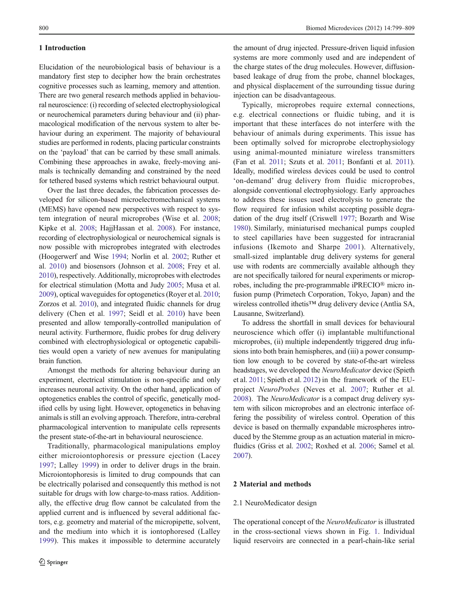#### 1 Introduction

Elucidation of the neurobiological basis of behaviour is a mandatory first step to decipher how the brain orchestrates cognitive processes such as learning, memory and attention. There are two general research methods applied in behavioural neuroscience: (i) recording of selected electrophysiological or neurochemical parameters during behaviour and (ii) pharmacological modification of the nervous system to alter behaviour during an experiment. The majority of behavioural studies are performed in rodents, placing particular constraints on the 'payload' that can be carried by these small animals. Combining these approaches in awake, freely-moving animals is technically demanding and constrained by the need for tethered based systems which restrict behavioural output.

Over the last three decades, the fabrication processes developed for silicon-based microelectromechanical systems (MEMS) have opened new perspectives with respect to system integration of neural microprobes (Wise et al. [2008](#page-10-0); Kipke et al. [2008;](#page-9-0) HajjHassan et al. [2008](#page-9-0)). For instance, recording of electrophysiological or neurochemical signals is now possible with microprobes integrated with electrodes (Hoogerwerf and Wise [1994;](#page-9-0) Norlin et al. [2002](#page-9-0); Ruther et al. [2010](#page-10-0)) and biosensors (Johnson et al. [2008;](#page-9-0) Frey et al. [2010\)](#page-9-0), respectively. Additionally, microprobes with electrodes for electrical stimulation (Motta and Judy [2005;](#page-9-0) Musa et al. [2009\)](#page-9-0), optical waveguides for optogenetics (Royer et al. [2010](#page-10-0); Zorzos et al. [2010](#page-10-0)), and integrated fluidic channels for drug delivery (Chen et al. [1997](#page-9-0); Seidl et al. [2010\)](#page-10-0) have been presented and allow temporally-controlled manipulation of neural activity. Furthermore, fluidic probes for drug delivery combined with electrophysiological or optogenetic capabilities would open a variety of new avenues for manipulating brain function.

Amongst the methods for altering behaviour during an experiment, electrical stimulation is non-specific and only increases neuronal activity. On the other hand, application of optogenetics enables the control of specific, genetically modified cells by using light. However, optogenetics in behaving animals is still an evolving approach. Therefore, intra-cerebral pharmacological intervention to manipulate cells represents the present state-of-the-art in behavioural neuroscience.

Traditionally, pharmacological manipulations employ either microiontophoresis or pressure ejection (Lacey [1997;](#page-9-0) Lalley [1999\)](#page-9-0) in order to deliver drugs in the brain. Microiontophoresis is limited to drug compounds that can be electrically polarised and consequently this method is not suitable for drugs with low charge-to-mass ratios. Additionally, the effective drug flow cannot be calculated from the applied current and is influenced by several additional factors, e.g. geometry and material of the micropipette, solvent, and the medium into which it is iontophoresed (Lalley [1999](#page-9-0)). This makes it impossible to determine accurately

the amount of drug injected. Pressure-driven liquid infusion systems are more commonly used and are independent of the charge states of the drug molecules. However, diffusionbased leakage of drug from the probe, channel blockages, and physical displacement of the surrounding tissue during injection can be disadvantageous.

Typically, microprobes require external connections, e.g. electrical connections or fluidic tubing, and it is important that these interfaces do not interfere with the behaviour of animals during experiments. This issue has been optimally solved for microprobe electrophysiology using animal-mounted miniature wireless transmitters (Fan et al. [2011;](#page-9-0) Szuts et al. [2011](#page-10-0); Bonfanti et al. [2011\)](#page-9-0). Ideally, modified wireless devices could be used to control 'on-demand' drug delivery from fluidic microprobes, alongside conventional electrophysiology. Early approaches to address these issues used electrolysis to generate the flow required for infusion whilst accepting possible degradation of the drug itself (Criswell [1977;](#page-9-0) Bozarth and Wise [1980\)](#page-9-0). Similarly, miniaturised mechanical pumps coupled to steel capillaries have been suggested for intracranial infusions (Ikemoto and Sharpe [2001](#page-9-0)). Alternatively, small-sized implantable drug delivery systems for general use with rodents are commercially available although they are not specifically tailored for neural experiments or microprobes, including the pre-programmable iPRECIO® micro infusion pump (Primetech Corporation, Tokyo, Japan) and the wireless controlled ithetis™ drug delivery device (Antlia SA, Lausanne, Switzerland).

To address the shortfall in small devices for behavioural neuroscience which offer (i) implantable multifunctional microprobes, (ii) multiple independently triggered drug infusions into both brain hemispheres, and (iii) a power consumption low enough to be covered by state-of-the-art wireless headstages, we developed the NeuroMedicator device (Spieth et al. [2011;](#page-10-0) Spieth et al. [2012](#page-10-0)) in the framework of the EUproject NeuroProbes (Neves et al. [2007;](#page-9-0) Ruther et al. [2008](#page-10-0)). The NeuroMedicator is a compact drug delivery system with silicon microprobes and an electronic interface offering the possibility of wireless control. Operation of this device is based on thermally expandable microspheres introduced by the Stemme group as an actuation material in microfluidics (Griss et al. [2002](#page-9-0); Roxhed et al. [2006;](#page-10-0) Samel et al. [2007\)](#page-10-0).

# 2 Material and methods

#### 2.1 NeuroMedicator design

The operational concept of the NeuroMedicator is illustrated in the cross-sectional views shown in Fig. [1.](#page-2-0) Individual liquid reservoirs are connected in a pearl-chain-like serial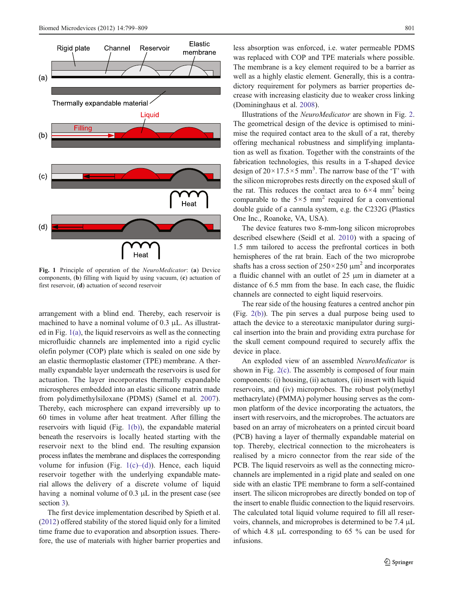<span id="page-2-0"></span>

Fig. 1 Principle of operation of the NeuroMedicator: (a) Device components, (b) filling with liquid by using vacuum, (c) actuation of first reservoir, (d) actuation of second reservoir

arrangement with a blind end. Thereby, each reservoir is machined to have a nominal volume of 0.3 μL. As illustrated in Fig. 1(a), the liquid reservoirs as well as the connecting microfluidic channels are implemented into a rigid cyclic olefin polymer (COP) plate which is sealed on one side by an elastic thermoplastic elastomer (TPE) membrane. A thermally expandable layer underneath the reservoirs is used for actuation. The layer incorporates thermally expandable microspheres embedded into an elastic silicone matrix made from polydimethylsiloxane (PDMS) (Samel et al. [2007](#page-10-0)). Thereby, each microsphere can expand irreversibly up to 60 times in volume after heat treatment. After filling the reservoirs with liquid (Fig. 1(b)), the expandable material beneath the reservoirs is locally heated starting with the reservoir next to the blind end. The resulting expansion process inflates the membrane and displaces the corresponding volume for infusion (Fig.  $1(c)$ –(d)). Hence, each liquid reservoir together with the underlying expandable material allows the delivery of a discrete volume of liquid having a nominal volume of 0.3 μL in the present case (see section [3\)](#page-6-0).

The first device implementation described by Spieth et al. [\(2012](#page-10-0)) offered stability of the stored liquid only for a limited time frame due to evaporation and absorption issues. Therefore, the use of materials with higher barrier properties and

less absorption was enforced, i.e. water permeable PDMS was replaced with COP and TPE materials where possible. The membrane is a key element required to be a barrier as well as a highly elastic element. Generally, this is a contradictory requirement for polymers as barrier properties decrease with increasing elasticity due to weaker cross linking (Domininghaus et al. [2008](#page-9-0)).

Illustrations of the NeuroMedicator are shown in Fig. [2.](#page-3-0) The geometrical design of the device is optimised to minimise the required contact area to the skull of a rat, thereby offering mechanical robustness and simplifying implantation as well as fixation. Together with the constraints of the fabrication technologies, this results in a T-shaped device design of  $20 \times 17.5 \times 5$  mm<sup>3</sup>. The narrow base of the 'T' with the silicon microprobes rests directly on the exposed skull of the rat. This reduces the contact area to  $6 \times 4$  mm<sup>2</sup> being comparable to the  $5 \times 5$  mm<sup>2</sup> required for a conventional double guide of a cannula system, e.g. the C232G (Plastics One Inc., Roanoke, VA, USA).

The device features two 8-mm-long silicon microprobes described elsewhere (Seidl et al. [2010](#page-10-0)) with a spacing of 1.5 mm tailored to access the prefrontal cortices in both hemispheres of the rat brain. Each of the two microprobe shafts has a cross section of  $250 \times 250 \mu m^2$  and incorporates a fluidic channel with an outlet of 25 μm in diameter at a distance of 6.5 mm from the base. In each case, the fluidic channels are connected to eight liquid reservoirs.

The rear side of the housing features a centred anchor pin (Fig. [2\(b\)\)](#page-3-0). The pin serves a dual purpose being used to attach the device to a stereotaxic manipulator during surgical insertion into the brain and providing extra purchase for the skull cement compound required to securely affix the device in place.

An exploded view of an assembled NeuroMedicator is shown in Fig. [2\(c\).](#page-3-0) The assembly is composed of four main components: (i) housing, (ii) actuators, (iii) insert with liquid reservoirs, and (iv) microprobes. The robust poly(methyl methacrylate) (PMMA) polymer housing serves as the common platform of the device incorporating the actuators, the insert with reservoirs, and the microprobes. The actuators are based on an array of microheaters on a printed circuit board (PCB) having a layer of thermally expandable material on top. Thereby, electrical connection to the microheaters is realised by a micro connector from the rear side of the PCB. The liquid reservoirs as well as the connecting microchannels are implemented in a rigid plate and sealed on one side with an elastic TPE membrane to form a self-contained insert. The silicon microprobes are directly bonded on top of the insert to enable fluidic connection to the liquid reservoirs. The calculated total liquid volume required to fill all reservoirs, channels, and microprobes is determined to be 7.4 μL of which 4.8 μL corresponding to 65 % can be used for infusions.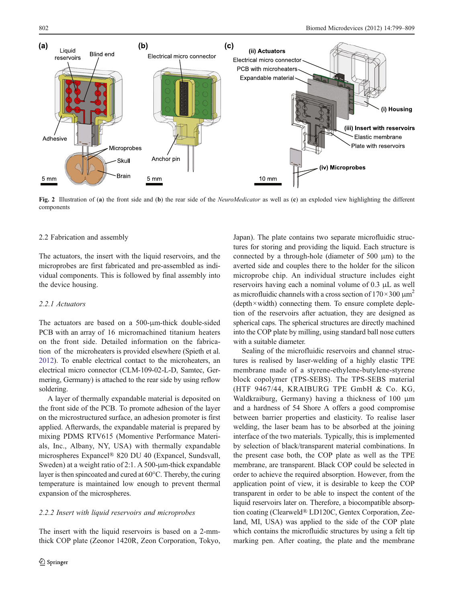<span id="page-3-0"></span>

Fig. 2 Illustration of (a) the front side and (b) the rear side of the NeuroMedicator as well as (c) an exploded view highlighting the different components

# 2.2 Fabrication and assembly

The actuators, the insert with the liquid reservoirs, and the microprobes are first fabricated and pre-assembled as individual components. This is followed by final assembly into the device housing.

## 2.2.1 Actuators

The actuators are based on a 500-μm-thick double-sided PCB with an array of 16 micromachined titanium heaters on the front side. Detailed information on the fabrication of the microheaters is provided elsewhere (Spieth et al. [2012\)](#page-10-0). To enable electrical contact to the microheaters, an electrical micro connector (CLM-109-02-L-D, Samtec, Germering, Germany) is attached to the rear side by using reflow soldering.

A layer of thermally expandable material is deposited on the front side of the PCB. To promote adhesion of the layer on the microstructured surface, an adhesion promoter is first applied. Afterwards, the expandable material is prepared by mixing PDMS RTV615 (Momentive Performance Materials, Inc., Albany, NY, USA) with thermally expandable microspheres Expancel® 820 DU 40 (Expancel, Sundsvall, Sweden) at a weight ratio of 2:1. A 500-μm-thick expandable layer is then spincoated and cured at 60°C. Thereby, the curing temperature is maintained low enough to prevent thermal expansion of the microspheres.

# 2.2.2 Insert with liquid reservoirs and microprobes

The insert with the liquid reservoirs is based on a 2-mmthick COP plate (Zeonor 1420R, Zeon Corporation, Tokyo, Japan). The plate contains two separate microfluidic structures for storing and providing the liquid. Each structure is connected by a through-hole (diameter of 500 μm) to the averted side and couples there to the holder for the silicon microprobe chip. An individual structure includes eight reservoirs having each a nominal volume of 0.3 μL as well as microfluidic channels with a cross section of  $170 \times 300 \mu m^2$ (depth×width) connecting them. To ensure complete depletion of the reservoirs after actuation, they are designed as spherical caps. The spherical structures are directly machined into the COP plate by milling, using standard ball nose cutters with a suitable diameter.

Sealing of the microfluidic reservoirs and channel structures is realised by laser-welding of a highly elastic TPE membrane made of a styrene-ethylene-butylene-styrene block copolymer (TPS-SEBS). The TPS-SEBS material (HTF 9467/44, KRAIBURG TPE GmbH & Co. KG, Waldkraiburg, Germany) having a thickness of 100 μm and a hardness of 54 Shore A offers a good compromise between barrier properties and elasticity. To realise laser welding, the laser beam has to be absorbed at the joining interface of the two materials. Typically, this is implemented by selection of black/transparent material combinations. In the present case both, the COP plate as well as the TPE membrane, are transparent. Black COP could be selected in order to achieve the required absorption. However, from the application point of view, it is desirable to keep the COP transparent in order to be able to inspect the content of the liquid reservoirs later on. Therefore, a biocompatible absorption coating (Clearweld® LD120C, Gentex Corporation, Zeeland, MI, USA) was applied to the side of the COP plate which contains the microfluidic structures by using a felt tip marking pen. After coating, the plate and the membrane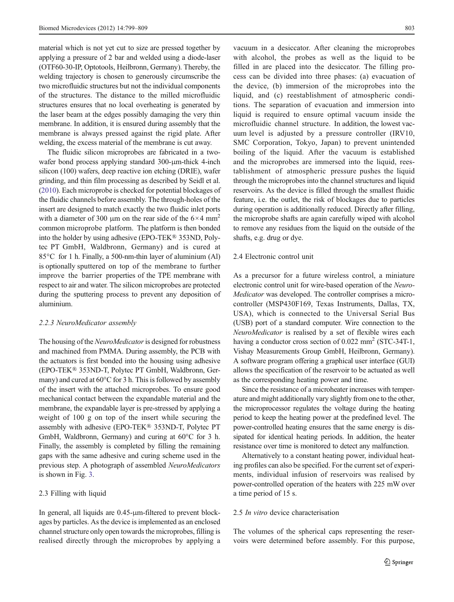<span id="page-4-0"></span>material which is not yet cut to size are pressed together by applying a pressure of 2 bar and welded using a diode-laser (OTF60-30-IP, Optotools, Heilbronn, Germany). Thereby, the welding trajectory is chosen to generously circumscribe the two microfluidic structures but not the individual components of the structures. The distance to the milled microfluidic structures ensures that no local overheating is generated by the laser beam at the edges possibly damaging the very thin membrane. In addition, it is ensured during assembly that the membrane is always pressed against the rigid plate. After welding, the excess material of the membrane is cut away.

The fluidic silicon microprobes are fabricated in a twowafer bond process applying standard 300-μm-thick 4-inch silicon (100) wafers, deep reactive ion etching (DRIE), wafer grinding, and thin film processing as described by Seidl et al. [\(2010\)](#page-10-0). Each microprobe is checked for potential blockages of the fluidic channels before assembly. The through-holes of the insert are designed to match exactly the two fluidic inlet ports with a diameter of 300 μm on the rear side of the  $6\times4$  mm<sup>2</sup> common microprobe platform. The platform is then bonded into the holder by using adhesive (EPO-TEK® 353ND, Polytec PT GmbH, Waldbronn, Germany) and is cured at 85°C for 1 h. Finally, a 500-nm-thin layer of aluminium (Al) is optionally sputtered on top of the membrane to further improve the barrier properties of the TPE membrane with respect to air and water. The silicon microprobes are protected during the sputtering process to prevent any deposition of aluminium.

### 2.2.3 NeuroMedicator assembly

The housing of the *NeuroMedicator* is designed for robustness and machined from PMMA. During assembly, the PCB with the actuators is first bonded into the housing using adhesive (EPO-TEK® 353ND-T, Polytec PT GmbH, Waldbronn, Germany) and cured at 60°C for 3 h. This is followed by assembly of the insert with the attached microprobes. To ensure good mechanical contact between the expandable material and the membrane, the expandable layer is pre-stressed by applying a weight of 100 g on top of the insert while securing the assembly with adhesive (EPO-TEK® 353ND-T, Polytec PT GmbH, Waldbronn, Germany) and curing at 60°C for 3 h. Finally, the assembly is completed by filling the remaining gaps with the same adhesive and curing scheme used in the previous step. A photograph of assembled NeuroMedicators is shown in Fig. [3](#page-5-0).

# 2.3 Filling with liquid

In general, all liquids are 0.45-μm-filtered to prevent blockages by particles. As the device is implemented as an enclosed channel structure only open towards the microprobes, filling is realised directly through the microprobes by applying a

vacuum in a desiccator. After cleaning the microprobes with alcohol, the probes as well as the liquid to be filled in are placed into the desiccator. The filling process can be divided into three phases: (a) evacuation of the device, (b) immersion of the microprobes into the liquid, and (c) reestablishment of atmospheric conditions. The separation of evacuation and immersion into liquid is required to ensure optimal vacuum inside the microfluidic channel structure. In addition, the lowest vacuum level is adjusted by a pressure controller (IRV10, SMC Corporation, Tokyo, Japan) to prevent unintended boiling of the liquid. After the vacuum is established and the microprobes are immersed into the liquid, reestablishment of atmospheric pressure pushes the liquid through the microprobes into the channel structures and liquid reservoirs. As the device is filled through the smallest fluidic feature, i.e. the outlet, the risk of blockages due to particles during operation is additionally reduced. Directly after filling, the microprobe shafts are again carefully wiped with alcohol to remove any residues from the liquid on the outside of the shafts, e.g. drug or dye.

## 2.4 Electronic control unit

As a precursor for a future wireless control, a miniature electronic control unit for wire-based operation of the Neuro-Medicator was developed. The controller comprises a microcontroller (MSP430F169, Texas Instruments, Dallas, TX, USA), which is connected to the Universal Serial Bus (USB) port of a standard computer. Wire connection to the NeuroMedicator is realised by a set of flexible wires each having a conductor cross section of  $0.022 \text{ mm}^2$  (STC-34T-1, Vishay Measurements Group GmbH, Heilbronn, Germany). A software program offering a graphical user interface (GUI) allows the specification of the reservoir to be actuated as well as the corresponding heating power and time.

Since the resistance of a microheater increases with temperature and might additionally vary slightly from one to the other, the microprocessor regulates the voltage during the heating period to keep the heating power at the predefined level. The power-controlled heating ensures that the same energy is dissipated for identical heating periods. In addition, the heater resistance over time is monitored to detect any malfunction.

Alternatively to a constant heating power, individual heating profiles can also be specified. For the current set of experiments, individual infusion of reservoirs was realised by power-controlled operation of the heaters with 225 mW over a time period of 15 s.

# 2.5 *In vitro* device characterisation

The volumes of the spherical caps representing the reservoirs were determined before assembly. For this purpose,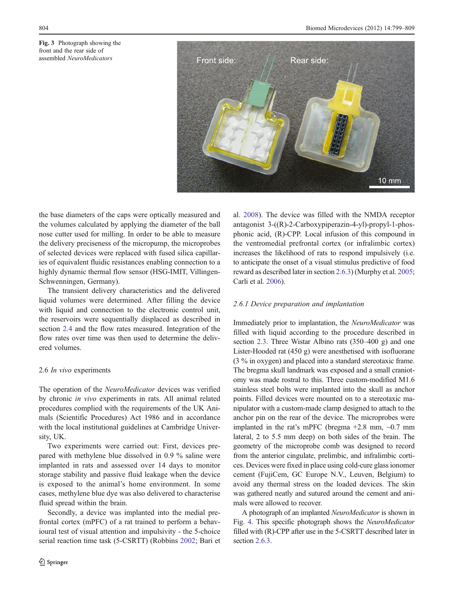<span id="page-5-0"></span>Fig. 3 Photograph showing the front and the rear side of assembled NeuroMedicators



the base diameters of the caps were optically measured and the volumes calculated by applying the diameter of the ball nose cutter used for milling. In order to be able to measure the delivery preciseness of the micropump, the microprobes of selected devices were replaced with fused silica capillaries of equivalent fluidic resistances enabling connection to a highly dynamic thermal flow sensor (HSG-IMIT, Villingen-Schwenningen, Germany).

The transient delivery characteristics and the delivered liquid volumes were determined. After filling the device with liquid and connection to the electronic control unit, the reservoirs were sequentially displaced as described in section [2.4](#page-4-0) and the flow rates measured. Integration of the flow rates over time was then used to determine the delivered volumes.

### 2.6 In vivo experiments

The operation of the NeuroMedicator devices was verified by chronic in vivo experiments in rats. All animal related procedures complied with the requirements of the UK Animals (Scientific Procedures) Act 1986 and in accordance with the local institutional guidelines at Cambridge University, UK.

Two experiments were carried out: First, devices prepared with methylene blue dissolved in 0.9 % saline were implanted in rats and assessed over 14 days to monitor storage stability and passive fluid leakage when the device is exposed to the animal's home environment. In some cases, methylene blue dye was also delivered to characterise fluid spread within the brain.

Secondly, a device was implanted into the medial prefrontal cortex (mPFC) of a rat trained to perform a behavioural test of visual attention and impulsivity - the 5-choice serial reaction time task (5-CSRTT) (Robbins [2002](#page-10-0); Bari et al. [2008](#page-9-0)). The device was filled with the NMDA receptor antagonist 3-((R)-2-Carboxypiperazin-4-yl)-propyl-1-phosphonic acid, (R)-CPP. Local infusion of this compound in the ventromedial prefrontal cortex (or infralimbic cortex) increases the likelihood of rats to respond impulsively (i.e. to anticipate the onset of a visual stimulus predictive of food reward as described later in section [2.6.3](#page-6-0)) (Murphy et al. [2005;](#page-9-0) Carli et al. [2006](#page-9-0)).

### 2.6.1 Device preparation and implantation

Immediately prior to implantation, the NeuroMedicator was filled with liquid according to the procedure described in section [2.3](#page-4-0). Three Wistar Albino rats (350–400 g) and one Lister-Hooded rat (450 g) were anesthetised with isofluorane (3 % in oxygen) and placed into a standard stereotaxic frame. The bregma skull landmark was exposed and a small craniotomy was made rostral to this. Three custom-modified M1.6 stainless steel bolts were implanted into the skull as anchor points. Filled devices were mounted on to a stereotaxic manipulator with a custom-made clamp designed to attach to the anchor pin on the rear of the device. The microprobes were implanted in the rat's mPFC (bregma  $+2.8$  mm,  $-0.7$  mm lateral, 2 to 5.5 mm deep) on both sides of the brain. The geometry of the microprobe comb was designed to record from the anterior cingulate, prelimbic, and infralimbic cortices. Devices were fixed in place using cold-cure glass ionomer cement (FujiCem, GC Europe N.V., Leuven, Belgium) to avoid any thermal stress on the loaded devices. The skin was gathered neatly and sutured around the cement and animals were allowed to recover.

A photograph of an implanted NeuroMedicator is shown in Fig. [4.](#page-6-0) This specific photograph shows the NeuroMedicator filled with (R)-CPP after use in the 5-CSRTT described later in section [2.6.3.](#page-6-0)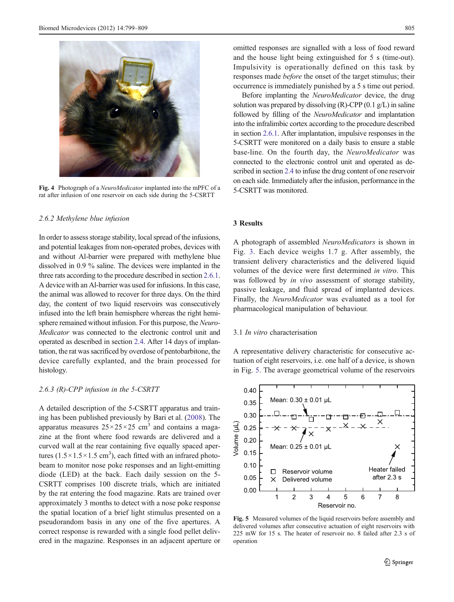<span id="page-6-0"></span>

Fig. 4 Photograph of a NeuroMedicator implanted into the mPFC of a rat after infusion of one reservoir on each side during the 5-CSRTT

#### 2.6.2 Methylene blue infusion

In order to assess storage stability, local spread of the infusions, and potential leakages from non-operated probes, devices with and without Al-barrier were prepared with methylene blue dissolved in 0.9 % saline. The devices were implanted in the three rats according to the procedure described in section [2.6.1.](#page-5-0) A device with an Al-barrier was used for infusions. In this case, the animal was allowed to recover for three days. On the third day, the content of two liquid reservoirs was consecutively infused into the left brain hemisphere whereas the right hemisphere remained without infusion. For this purpose, the Neuro-Medicator was connected to the electronic control unit and operated as described in section [2.4](#page-4-0). After 14 days of implantation, the rat was sacrificed by overdose of pentobarbitone, the device carefully explanted, and the brain processed for histology.

## 2.6.3 (R)-CPP infusion in the 5-CSRTT

A detailed description of the 5-CSRTT apparatus and training has been published previously by Bari et al. ([2008](#page-9-0)). The apparatus measures  $25 \times 25 \times 25$  cm<sup>3</sup> and contains a magazine at the front where food rewards are delivered and a curved wall at the rear containing five equally spaced apertures  $(1.5 \times 1.5 \times 1.5 \text{ cm}^3)$ , each fitted with an infrared photobeam to monitor nose poke responses and an light-emitting diode (LED) at the back. Each daily session on the 5- CSRTT comprises 100 discrete trials, which are initiated by the rat entering the food magazine. Rats are trained over approximately 3 months to detect with a nose poke response the spatial location of a brief light stimulus presented on a pseudorandom basis in any one of the five apertures. A correct response is rewarded with a single food pellet delivered in the magazine. Responses in an adjacent aperture or omitted responses are signalled with a loss of food reward and the house light being extinguished for 5 s (time-out). Impulsivity is operationally defined on this task by responses made before the onset of the target stimulus; their occurrence is immediately punished by a 5 s time out period.

Before implanting the NeuroMedicator device, the drug solution was prepared by dissolving  $(R)$ -CPP  $(0.1 \text{ g/L})$  in saline followed by filling of the NeuroMedicator and implantation into the infralimbic cortex according to the procedure described in section [2.6.1](#page-5-0). After implantation, impulsive responses in the 5-CSRTT were monitored on a daily basis to ensure a stable base-line. On the fourth day, the NeuroMedicator was connected to the electronic control unit and operated as described in section [2.4](#page-4-0) to infuse the drug content of one reservoir on each side. Immediately after the infusion, performance in the 5-CSRTT was monitored.

# 3 Results

A photograph of assembled NeuroMedicators is shown in Fig. [3](#page-5-0). Each device weighs 1.7 g. After assembly, the transient delivery characteristics and the delivered liquid volumes of the device were first determined in vitro. This was followed by *in vivo* assessment of storage stability, passive leakage, and fluid spread of implanted devices. Finally, the NeuroMedicator was evaluated as a tool for pharmacological manipulation of behaviour.

### 3.1 In vitro characterisation

A representative delivery characteristic for consecutive actuation of eight reservoirs, i.e. one half of a device, is shown in Fig. 5. The average geometrical volume of the reservoirs



Fig. 5 Measured volumes of the liquid reservoirs before assembly and delivered volumes after consecutive actuation of eight reservoirs with 225 mW for 15 s. The heater of reservoir no. 8 failed after 2.3 s of operation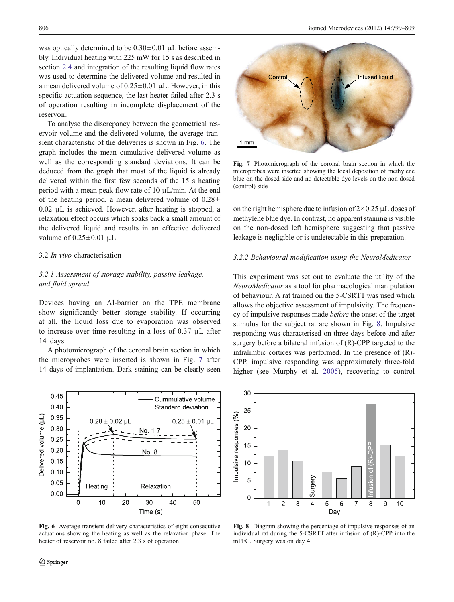<span id="page-7-0"></span>was optically determined to be  $0.30\pm0.01$  uL before assembly. Individual heating with 225 mW for 15 s as described in section [2.4](#page-4-0) and integration of the resulting liquid flow rates was used to determine the delivered volume and resulted in a mean delivered volume of  $0.25 \pm 0.01$  μL. However, in this specific actuation sequence, the last heater failed after 2.3 s of operation resulting in incomplete displacement of the reservoir.

To analyse the discrepancy between the geometrical reservoir volume and the delivered volume, the average transient characteristic of the deliveries is shown in Fig. 6. The graph includes the mean cumulative delivered volume as well as the corresponding standard deviations. It can be deduced from the graph that most of the liquid is already delivered within the first few seconds of the 15 s heating period with a mean peak flow rate of 10 μL/min. At the end of the heating period, a mean delivered volume of  $0.28\pm$ 0.02 μL is achieved. However, after heating is stopped, a relaxation effect occurs which soaks back a small amount of the delivered liquid and results in an effective delivered volume of  $0.25 \pm 0.01$   $\mu$ L.

## 3.2 In vivo characterisation

# 3.2.1 Assessment of storage stability, passive leakage, and fluid spread

Devices having an Al-barrier on the TPE membrane show significantly better storage stability. If occurring at all, the liquid loss due to evaporation was observed to increase over time resulting in a loss of 0.37 μL after 14 days.

A photomicrograph of the coronal brain section in which the microprobes were inserted is shown in Fig. 7 after 14 days of implantation. Dark staining can be clearly seen



Fig. 6 Average transient delivery characteristics of eight consecutive actuations showing the heating as well as the relaxation phase. The heater of reservoir no. 8 failed after 2.3 s of operation



Fig. 7 Photomicrograph of the coronal brain section in which the microprobes were inserted showing the local deposition of methylene blue on the dosed side and no detectable dye-levels on the non-dosed (control) side

on the right hemisphere due to infusion of  $2 \times 0.25$  µL doses of methylene blue dye. In contrast, no apparent staining is visible on the non-dosed left hemisphere suggesting that passive leakage is negligible or is undetectable in this preparation.

#### 3.2.2 Behavioural modification using the NeuroMedicator

This experiment was set out to evaluate the utility of the NeuroMedicator as a tool for pharmacological manipulation of behaviour. A rat trained on the 5-CSRTT was used which allows the objective assessment of impulsivity. The frequency of impulsive responses made before the onset of the target stimulus for the subject rat are shown in Fig. 8. Impulsive responding was characterised on three days before and after surgery before a bilateral infusion of (R)-CPP targeted to the infralimbic cortices was performed. In the presence of (R)- CPP, impulsive responding was approximately three-fold higher (see Murphy et al. [2005\)](#page-9-0), recovering to control



Fig. 8 Diagram showing the percentage of impulsive responses of an individual rat during the 5-CSRTT after infusion of (R)-CPP into the mPFC. Surgery was on day 4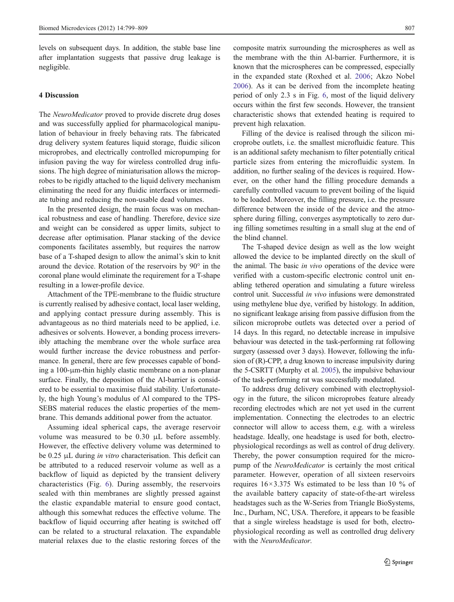levels on subsequent days. In addition, the stable base line after implantation suggests that passive drug leakage is negligible.

#### 4 Discussion

The *NeuroMedicator* proved to provide discrete drug doses and was successfully applied for pharmacological manipulation of behaviour in freely behaving rats. The fabricated drug delivery system features liquid storage, fluidic silicon microprobes, and electrically controlled micropumping for infusion paving the way for wireless controlled drug infusions. The high degree of miniaturisation allows the microprobes to be rigidly attached to the liquid delivery mechanism eliminating the need for any fluidic interfaces or intermediate tubing and reducing the non-usable dead volumes.

In the presented design, the main focus was on mechanical robustness and ease of handling. Therefore, device size and weight can be considered as upper limits, subject to decrease after optimisation. Planar stacking of the device components facilitates assembly, but requires the narrow base of a T-shaped design to allow the animal's skin to knit around the device. Rotation of the reservoirs by 90° in the coronal plane would eliminate the requirement for a T-shape resulting in a lower-profile device.

Attachment of the TPE-membrane to the fluidic structure is currently realised by adhesive contact, local laser welding, and applying contact pressure during assembly. This is advantageous as no third materials need to be applied, i.e. adhesives or solvents. However, a bonding process irreversibly attaching the membrane over the whole surface area would further increase the device robustness and performance. In general, there are few processes capable of bonding a 100-μm-thin highly elastic membrane on a non-planar surface. Finally, the deposition of the Al-barrier is considered to be essential to maximise fluid stability. Unfortunately, the high Young's modulus of Al compared to the TPS-SEBS material reduces the elastic properties of the membrane. This demands additional power from the actuator.

Assuming ideal spherical caps, the average reservoir volume was measured to be 0.30 μL before assembly. However, the effective delivery volume was determined to be 0.25 μL during in vitro characterisation. This deficit can be attributed to a reduced reservoir volume as well as a backflow of liquid as depicted by the transient delivery characteristics (Fig. [6](#page-7-0)). During assembly, the reservoirs sealed with thin membranes are slightly pressed against the elastic expandable material to ensure good contact, although this somewhat reduces the effective volume. The backflow of liquid occurring after heating is switched off can be related to a structural relaxation. The expandable material relaxes due to the elastic restoring forces of the

composite matrix surrounding the microspheres as well as the membrane with the thin Al-barrier. Furthermore, it is known that the microspheres can be compressed, especially in the expanded state (Roxhed et al. [2006](#page-10-0); Akzo Nobel [2006](#page-9-0)). As it can be derived from the incomplete heating period of only 2.3 s in Fig. [6](#page-7-0), most of the liquid delivery occurs within the first few seconds. However, the transient characteristic shows that extended heating is required to prevent high relaxation.

Filling of the device is realised through the silicon microprobe outlets, i.e. the smallest microfluidic feature. This is an additional safety mechanism to filter potentially critical particle sizes from entering the microfluidic system. In addition, no further sealing of the devices is required. However, on the other hand the filling procedure demands a carefully controlled vacuum to prevent boiling of the liquid to be loaded. Moreover, the filling pressure, i.e. the pressure difference between the inside of the device and the atmosphere during filling, converges asymptotically to zero during filling sometimes resulting in a small slug at the end of the blind channel.

The T-shaped device design as well as the low weight allowed the device to be implanted directly on the skull of the animal. The basic in vivo operations of the device were verified with a custom-specific electronic control unit enabling tethered operation and simulating a future wireless control unit. Successful in vivo infusions were demonstrated using methylene blue dye, verified by histology. In addition, no significant leakage arising from passive diffusion from the silicon microprobe outlets was detected over a period of 14 days. In this regard, no detectable increase in impulsive behaviour was detected in the task-performing rat following surgery (assessed over 3 days). However, following the infusion of (R)-CPP, a drug known to increase impulsivity during the 5-CSRTT (Murphy et al. [2005](#page-9-0)), the impulsive behaviour of the task-performing rat was successfully modulated.

To address drug delivery combined with electrophysiology in the future, the silicon microprobes feature already recording electrodes which are not yet used in the current implementation. Connecting the electrodes to an electric connector will allow to access them, e.g. with a wireless headstage. Ideally, one headstage is used for both, electrophysiological recordings as well as control of drug delivery. Thereby, the power consumption required for the micropump of the NeuroMedicator is certainly the most critical parameter. However, operation of all sixteen reservoirs requires 16×3.375 Ws estimated to be less than 10 % of the available battery capacity of state-of-the-art wireless headstages such as the W-Series from Triangle BioSystems, Inc., Durham, NC, USA. Therefore, it appears to be feasible that a single wireless headstage is used for both, electrophysiological recording as well as controlled drug delivery with the NeuroMedicator.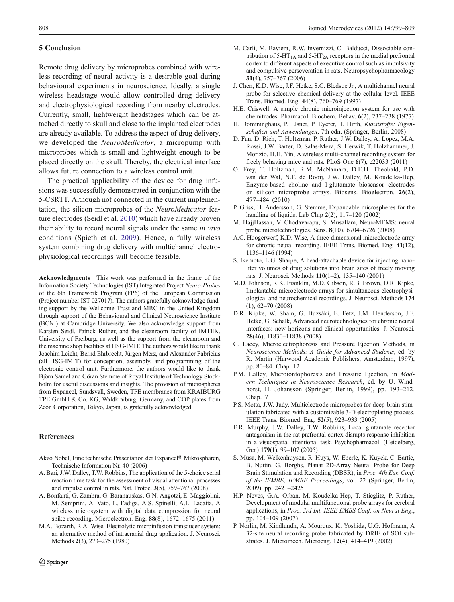### <span id="page-9-0"></span>5 Conclusion

Remote drug delivery by microprobes combined with wireless recording of neural activity is a desirable goal during behavioural experiments in neuroscience. Ideally, a single wireless headstage would allow controlled drug delivery and electrophysiological recording from nearby electrodes. Currently, small, lightweight headstages which can be attached directly to skull and close to the implanted electrodes are already available. To address the aspect of drug delivery, we developed the NeuroMedicator, a micropump with microprobes which is small and lightweight enough to be placed directly on the skull. Thereby, the electrical interface allows future connection to a wireless control unit.

The practical applicability of the device for drug infusions was successfully demonstrated in conjunction with the 5-CSRTT. Although not connected in the current implementation, the silicon microprobes of the NeuroMedicator feature electrodes (Seidl et al. [2010\)](#page-10-0) which have already proven their ability to record neural signals under the same in vivo conditions (Spieth et al. [2009](#page-10-0)). Hence, a fully wireless system combining drug delivery with multichannel electrophysiological recordings will become feasible.

Acknowledgments This work was performed in the frame of the Information Society Technologies (IST) Integrated Project Neuro-Probes of the 6th Framework Program (FP6) of the European Commission (Project number IST-027017). The authors gratefully acknowledge funding support by the Wellcome Trust and MRC in the United Kingdom through support of the Behavioural and Clinical Neuroscience Institute (BCNI) at Cambridge University. We also acknowledge support from Karsten Seidl, Patrick Ruther, and the cleanroom facility of IMTEK, University of Freiburg, as well as the support from the cleanroom and the machine shop facilities at HSG-IMIT. The authors would like to thank Joachim Leicht, Bernd Ehrbrecht, Jürgen Merz, and Alexander Fabricius (all HSG-IMIT) for conception, assembly, and programming of the electronic control unit. Furthermore, the authors would like to thank Björn Samel and Göran Stemme of Royal Institute of Technology Stockholm for useful discussions and insights. The provision of microspheres from Expancel, Sundsvall, Sweden, TPE membranes from KRAIBURG TPE GmbH & Co. KG, Waldkraiburg, Germany, and COP plates from Zeon Corporation, Tokyo, Japan, is gratefully acknowledged.

#### References

- Akzo Nobel, Eine technische Präsentation der Expancel® Mikrosphären, Technische Information Nr. 40 (2006)
- A. Bari, J.W. Dalley, T.W. Robbins, The application of the 5-choice serial reaction time task for the assessment of visual attentional processes and impulse control in rats. Nat. Protoc. 3(5), 759–767 (2008)
- A. Bonfanti, G. Zambra, G. Baranauskas, G.N. Angotzi, E. Maggiolini, M. Semprini, A. Vato, L. Fadiga, A.S. Spinelli, A.L. Lacaita, A wireless microsystem with digital data compression for neural spike recording. Microelectron. Eng. 88(8), 1672–1675 (2011)
- M.A. Bozarth, R.A. Wise, Electrolytic microinfusion transducer system: an alternative method of intracranial drug application. J. Neurosci. Methods 2(3), 273–275 (1980)
- M. Carli, M. Baviera, R.W. Invernizzi, C. Balducci, Dissociable contribution of  $5-HT_{1A}$  and  $5-HT_{2A}$  receptors in the medial prefrontal cortex to different aspects of executive control such as impulsivity and compulsive perseveration in rats. Neuropsychopharmacology 31(4), 757–767 (2006)
- J. Chen, K.D. Wise, J.F. Hetke, S.C. Bledsoe Jr., A multichannel neural probe for selective chemical delivery at the cellular level. IEEE Trans. Biomed. Eng. 44(8), 760–769 (1997)
- H.E. Criswell, A simple chronic microinjection system for use with chemitrodes. Pharmacol. Biochem. Behav. 6(2), 237–238 (1977)
- H. Domininghaus, P. Elsner, P. Eyerer, T. Hirth, Kunststoffe: Eigenschaften und Anwendungen, 7th edn. (Springer, Berlin, 2008)
- D. Fan, D. Rich, T. Holtzman, P. Ruther, J.W. Dalley, A. Lopez, M.A. Rossi, J.W. Barter, D. Salas-Meza, S. Herwik, T. Holzhammer, J. Morizio, H.H. Yin, A wireless multi-channel recording system for freely behaving mice and rats. PLoS One 6(7), e22033 (2011)
- O. Frey, T. Holtzman, R.M. McNamara, D.E.H. Theobald, P.D. van der Wal, N.F. de Rooij, J.W. Dalley, M. Koudelka-Hep, Enzyme-based choline and l-glutamate biosensor electrodes on silicon microprobe arrays. Biosens. Bioelectron. 26(2), 477–484 (2010)
- P. Griss, H. Andersson, G. Stemme, Expandable microspheres for the handling of liquids. Lab Chip 2(2), 117–120 (2002)
- M. HajjHassan, V. Chodavarapu, S. Musallam, NeuroMEMS: neural probe microtechnologies. Sens. 8(10), 6704–6726 (2008)
- A.C. Hoogerwerf, K.D. Wise, A three-dimensional microelectrode array for chronic neural recording. IEEE Trans. Biomed. Eng. 41(12), 1136–1146 (1994)
- S. Ikemoto, L.G. Sharpe, A head-attachable device for injecting nanoliter volumes of drug solutions into brain sites of freely moving rats. J. Neurosci. Methods 110(1–2), 135–140 (2001)
- M.D. Johnson, R.K. Franklin, M.D. Gibson, R.B. Brown, D.R. Kipke, Implantable microelectrode arrays for simultaneous electrophysiological and neurochemical recordings. J. Neurosci. Methods 174 (1), 62–70 (2008)
- D.R. Kipke, W. Shain, G. Buzsáki, E. Fetz, J.M. Henderson, J.F. Hetke, G. Schalk, Advanced neurotechnologies for chronic neural interfaces: new horizons and clinical opportunities. J. Neurosci. 28(46), 11830–11838 (2008)
- G. Lacey, Microelectrophoresis and Pressure Ejection Methods, in Neuroscience Methods: A Guide for Advanced Students, ed. by R. Martin (Harwood Academic Publishers, Amsterdam, 1997), pp. 80–84. Chap. 12
- P.M. Lalley, Microiontophoresis and Pressure Ejection, in Modern Techniques in Neuroscience Research, ed. by U. Windhorst, H. Johansson (Springer, Berlin, 1999), pp. 193–212. Chap. 7
- P.S. Motta, J.W. Judy, Multielectrode microprobes for deep-brain stimulation fabricated with a customizable 3-D electroplating process. IEEE Trans. Biomed. Eng. 52(5), 923–933 (2005)
- E.R. Murphy, J.W. Dalley, T.W. Robbins, Local glutamate receptor antagonism in the rat prefrontal cortex disrupts response inhibition in a visuospatial attentional task. Psychopharmacol. (Heidelberg, Ger.) 179(1), 99–107 (2005)
- S. Musa, M. Welkenhuysen, R. Huys, W. Eberle, K. Kuyck, C. Bartic, B. Nuttin, G. Borghs, Planar 2D-Array Neural Probe for Deep Brain Stimulation and Recording (DBSR), in Proc. 4th Eur. Conf. of the IFMBE, IFMBE Proceedings, vol. 22 (Springer, Berlin, 2009), pp. 2421–2425
- H.P. Neves, G.A. Orban, M. Koudelka-Hep, T. Stieglitz, P. Ruther, Development of modular multifunctional probe arrays for cerebral applications, in Proc. 3rd Int. IEEE EMBS Conf. on Neural Eng., pp. 104–109 (2007)
- P. Norlin, M. Kindlundh, A. Mouroux, K. Yoshida, U.G. Hofmann, A 32-site neural recording probe fabricated by DRIE of SOI substrates. J. Micromech. Microeng. 12(4), 414–419 (2002)